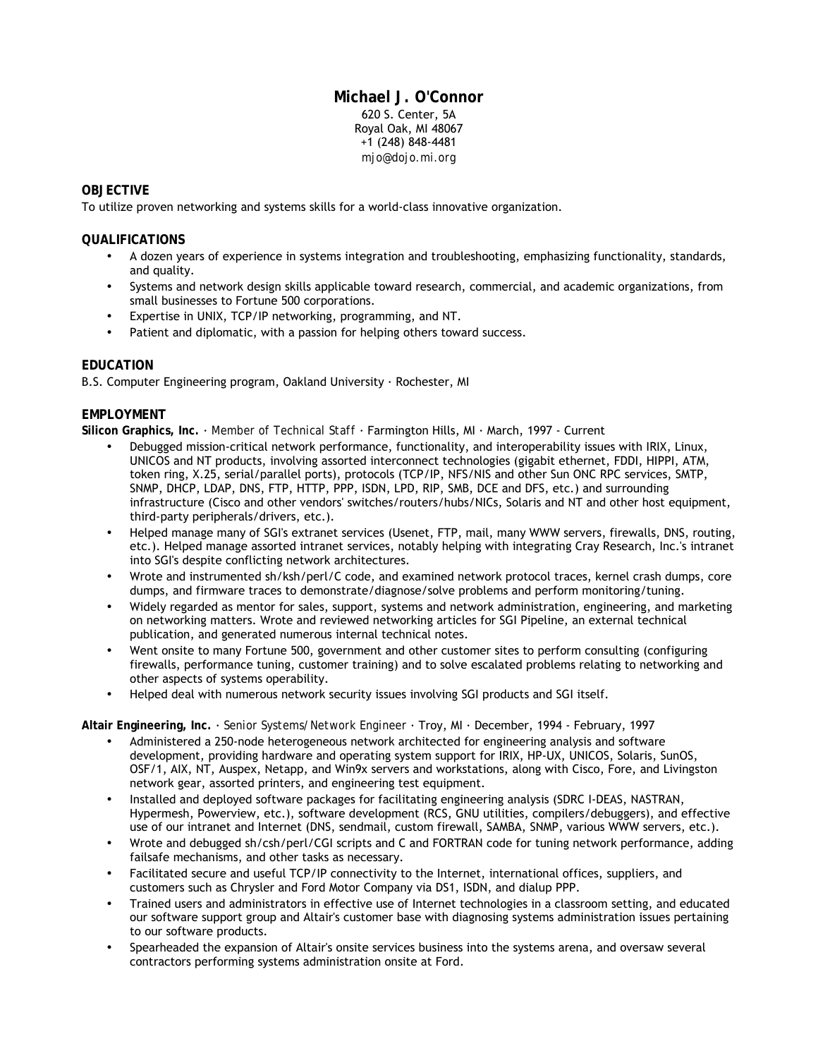# **Michael J. O'Connor**

620 S. Center, 5A Royal Oak, MI 48067 +1 (248) 848-4481 *mjo@dojo.mi.org* 

## **OBJECTIVE**

To utilize proven networking and systems skills for a world-class innovative organization.

#### **QUALIFICATIONS**

- A dozen years of experience in systems integration and troubleshooting, emphasizing functionality, standards, and quality.
- Systems and network design skills applicable toward research, commercial, and academic organizations, from small businesses to Fortune 500 corporations.
- Expertise in UNIX, TCP/IP networking, programming, and NT.
- Patient and diplomatic, with a passion for helping others toward success.

#### **EDUCATION**

B.S. Computer Engineering program, Oakland University ∙ Rochester, MI

### **EMPLOYMENT**

**Silicon Graphics, Inc.** ∙ *Member of Technical Staff* ∙ Farmington Hills, MI ∙ March, 1997 - Current

- Debugged mission-critical network performance, functionality, and interoperability issues with IRIX, Linux, UNICOS and NT products, involving assorted interconnect technologies (gigabit ethernet, FDDI, HIPPI, ATM, token ring, X.25, serial/parallel ports), protocols (TCP/IP, NFS/NIS and other Sun ONC RPC services, SMTP, SNMP, DHCP, LDAP, DNS, FTP, HTTP, PPP, ISDN, LPD, RIP, SMB, DCE and DFS, etc.) and surrounding infrastructure (Cisco and other vendors' switches/routers/hubs/NICs, Solaris and NT and other host equipment, third-party peripherals/drivers, etc.).
- Helped manage many of SGI's extranet services (Usenet, FTP, mail, many WWW servers, firewalls, DNS, routing, etc.). Helped manage assorted intranet services, notably helping with integrating Cray Research, Inc.'s intranet into SGI's despite conflicting network architectures.
- Wrote and instrumented sh/ksh/perl/C code, and examined network protocol traces, kernel crash dumps, core dumps, and firmware traces to demonstrate/diagnose/solve problems and perform monitoring/tuning.
- Widely regarded as mentor for sales, support, systems and network administration, engineering, and marketing on networking matters. Wrote and reviewed networking articles for SGI Pipeline, an external technical publication, and generated numerous internal technical notes.
- Went onsite to many Fortune 500, government and other customer sites to perform consulting (configuring firewalls, performance tuning, customer training) and to solve escalated problems relating to networking and other aspects of systems operability.
- Helped deal with numerous network security issues involving SGI products and SGI itself.

**Altair Engineering, Inc.** ∙ *Senior Systems/Network Engineer* ∙ Troy, MI ∙ December, 1994 - February, 1997

- Administered a 250-node heterogeneous network architected for engineering analysis and software development, providing hardware and operating system support for IRIX, HP-UX, UNICOS, Solaris, SunOS, OSF/1, AIX, NT, Auspex, Netapp, and Win9x servers and workstations, along with Cisco, Fore, and Livingston network gear, assorted printers, and engineering test equipment.
- Installed and deployed software packages for facilitating engineering analysis (SDRC I-DEAS, NASTRAN, Hypermesh, Powerview, etc.), software development (RCS, GNU utilities, compilers/debuggers), and effective use of our intranet and Internet (DNS, sendmail, custom firewall, SAMBA, SNMP, various WWW servers, etc.).
- Wrote and debugged sh/csh/perl/CGI scripts and C and FORTRAN code for tuning network performance, adding failsafe mechanisms, and other tasks as necessary.
- Facilitated secure and useful TCP/IP connectivity to the Internet, international offices, suppliers, and customers such as Chrysler and Ford Motor Company via DS1, ISDN, and dialup PPP.
- Trained users and administrators in effective use of Internet technologies in a classroom setting, and educated our software support group and Altair's customer base with diagnosing systems administration issues pertaining to our software products.
- Spearheaded the expansion of Altair's onsite services business into the systems arena, and oversaw several contractors performing systems administration onsite at Ford.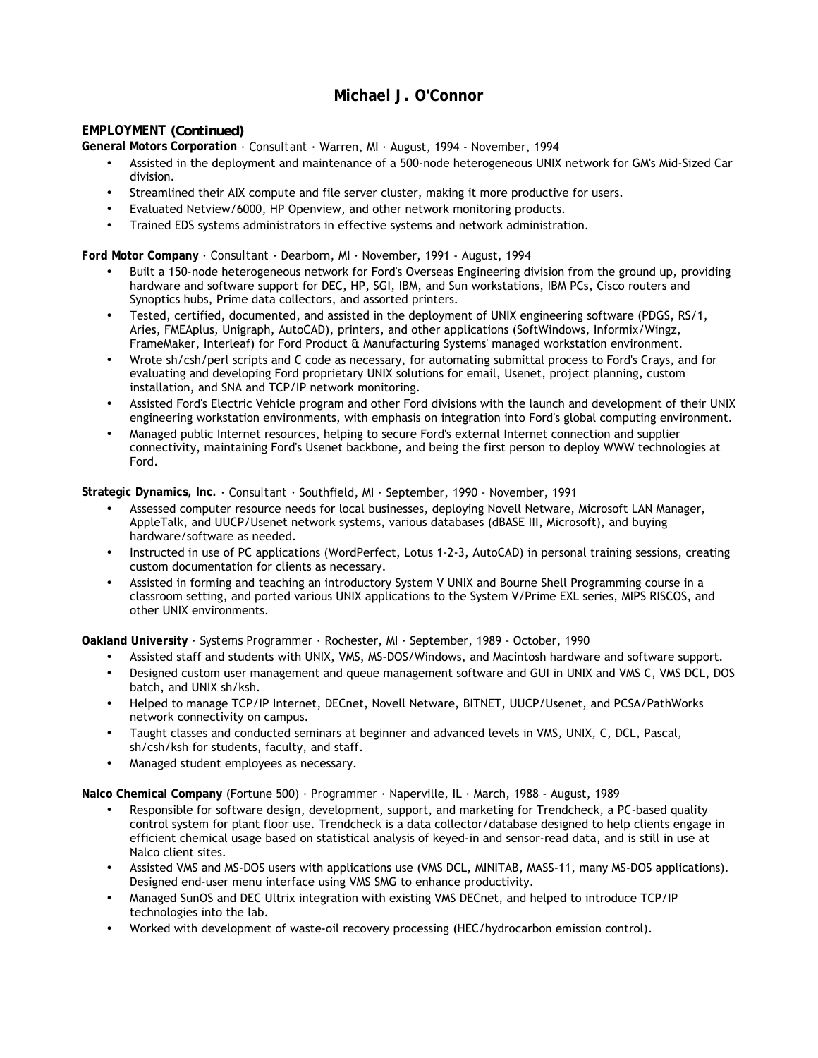## **Michael J. O'Connor**

### **EMPLOYMENT** *(Continued)*

**General Motors Corporation** ∙ *Consultant* ∙ Warren, MI ∙ August, 1994 - November, 1994

- Assisted in the deployment and maintenance of a 500-node heterogeneous UNIX network for GM's Mid-Sized Car division.
- Streamlined their AIX compute and file server cluster, making it more productive for users.
- Evaluated Netview/6000, HP Openview, and other network monitoring products.
- Trained EDS systems administrators in effective systems and network administration.

**Ford Motor Company** ∙ *Consultant* ∙ Dearborn, MI ∙ November, 1991 - August, 1994

- Built a 150-node heterogeneous network for Ford's Overseas Engineering division from the ground up, providing hardware and software support for DEC, HP, SGI, IBM, and Sun workstations, IBM PCs, Cisco routers and Synoptics hubs, Prime data collectors, and assorted printers.
- Tested, certified, documented, and assisted in the deployment of UNIX engineering software (PDGS, RS/1, Aries, FMEAplus, Unigraph, AutoCAD), printers, and other applications (SoftWindows, Informix/Wingz, FrameMaker, Interleaf) for Ford Product & Manufacturing Systems' managed workstation environment.
- Wrote sh/csh/perl scripts and C code as necessary, for automating submittal process to Ford's Crays, and for evaluating and developing Ford proprietary UNIX solutions for email, Usenet, project planning, custom installation, and SNA and TCP/IP network monitoring.
- Assisted Ford's Electric Vehicle program and other Ford divisions with the launch and development of their UNIX engineering workstation environments, with emphasis on integration into Ford's global computing environment.
- Managed public Internet resources, helping to secure Ford's external Internet connection and supplier connectivity, maintaining Ford's Usenet backbone, and being the first person to deploy WWW technologies at Ford.

**Strategic Dynamics, Inc.** ∙ *Consultant* ∙ Southfield, MI ∙ September, 1990 - November, 1991

- Assessed computer resource needs for local businesses, deploying Novell Netware, Microsoft LAN Manager, AppleTalk, and UUCP/Usenet network systems, various databases (dBASE III, Microsoft), and buying hardware/software as needed.
- Instructed in use of PC applications (WordPerfect, Lotus 1-2-3, AutoCAD) in personal training sessions, creating custom documentation for clients as necessary.
- Assisted in forming and teaching an introductory System V UNIX and Bourne Shell Programming course in a classroom setting, and ported various UNIX applications to the System V/Prime EXL series, MIPS RISCOS, and other UNIX environments.

**Oakland University** ∙ *Systems Programmer* ∙ Rochester, MI ∙ September, 1989 - October, 1990

- Assisted staff and students with UNIX, VMS, MS-DOS/Windows, and Macintosh hardware and software support.
- Designed custom user management and queue management software and GUI in UNIX and VMS C, VMS DCL, DOS batch, and UNIX sh/ksh.
- Helped to manage TCP/IP Internet, DECnet, Novell Netware, BITNET, UUCP/Usenet, and PCSA/PathWorks network connectivity on campus.
- Taught classes and conducted seminars at beginner and advanced levels in VMS, UNIX, C, DCL, Pascal, sh/csh/ksh for students, faculty, and staff.
- Managed student employees as necessary.

**Nalco Chemical Company** (Fortune 500) ∙ *Programmer* ∙ Naperville, IL ∙ March, 1988 - August, 1989

- Responsible for software design, development, support, and marketing for Trendcheck, a PC-based quality control system for plant floor use. Trendcheck is a data collector/database designed to help clients engage in efficient chemical usage based on statistical analysis of keyed-in and sensor-read data, and is still in use at Nalco client sites.
- Assisted VMS and MS-DOS users with applications use (VMS DCL, MINITAB, MASS-11, many MS-DOS applications). Designed end-user menu interface using VMS SMG to enhance productivity.
- Managed SunOS and DEC Ultrix integration with existing VMS DECnet, and helped to introduce TCP/IP technologies into the lab.
- Worked with development of waste-oil recovery processing (HEC/hydrocarbon emission control).